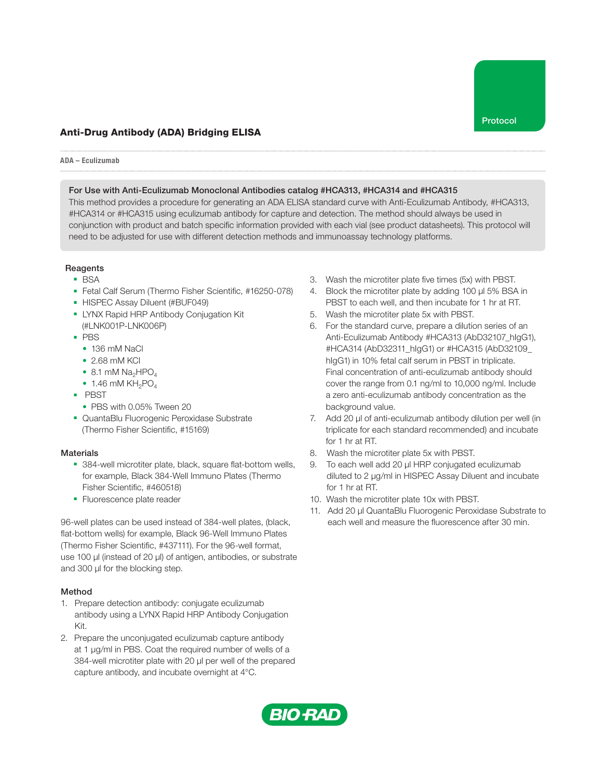

# Anti-Drug Antibody (ADA) Bridging ELISA

#### ADA – Eculizumab

#### For Use with Anti-Eculizumab Monoclonal Antibodies catalog #HCA313, #HCA314 and #HCA315

This method provides a procedure for generating an ADA ELISA standard curve with Anti-Eculizumab Antibody, #HCA313, #HCA314 or #HCA315 using eculizumab antibody for capture and detection. The method should always be used in conjunction with product and batch specific information provided with each vial (see product datasheets). This protocol will need to be adjusted for use with different detection methods and immunoassay technology platforms.

#### Reagents

- BSA
- Fetal Calf Serum (Thermo Fisher Scientific, #16250-078)
- HISPEC Assay Diluent (#BUF049)
- LYNX Rapid HRP Antibody Conjugation Kit (#LNK001P-LNK006P)
- PBS
	- 136 mM NaCl
	- 2.68 mM KCl
	- 8.1 mM  $Na<sub>2</sub>HPO<sub>4</sub>$
	- $\bullet$  1.46 mM KH<sub>2</sub>PO<sub>4</sub>
- PBST
- PBS with 0.05% Tween 20
- QuantaBlu Fluorogenic Peroxidase Substrate (Thermo Fisher Scientific, #15169)

## **Materials**

- 384-well microtiter plate, black, square flat-bottom wells, for example, Black 384-Well Immuno Plates (Thermo Fisher Scientific, #460518)
- Fluorescence plate reader

96-well plates can be used instead of 384-well plates, (black, flat-bottom wells) for example, Black 96-Well Immuno Plates (Thermo Fisher Scientific, #437111). For the 96-well format, use 100 μl (instead of 20 μl) of antigen, antibodies, or substrate and 300 μl for the blocking step.

## Method

- 1. Prepare detection antibody: conjugate eculizumab antibody using a LYNX Rapid HRP Antibody Conjugation Kit.
- 2. Prepare the unconjugated eculizumab capture antibody at 1 µg/ml in PBS. Coat the required number of wells of a 384-well microtiter plate with 20 µl per well of the prepared capture antibody, and incubate overnight at 4°C.
- 3. Wash the microtiter plate five times (5x) with PBST.
- 4. Block the microtiter plate by adding 100 µl 5% BSA in PBST to each well, and then incubate for 1 hr at RT.
- 5. Wash the microtiter plate 5x with PBST.
- 6. For the standard curve, prepare a dilution series of an Anti-Eculizumab Antibody #HCA313 (AbD32107\_hIgG1), #HCA314 (AbD32311\_hIgG1) or #HCA315 (AbD32109\_ hIgG1) in 10% fetal calf serum in PBST in triplicate. Final concentration of anti-eculizumab antibody should cover the range from 0.1 ng/ml to 10,000 ng/ml. Include a zero anti-eculizumab antibody concentration as the background value.
- 7. Add 20 µl of anti-eculizumab antibody dilution per well (in triplicate for each standard recommended) and incubate for 1 hr at RT.
- 8. Wash the microtiter plate 5x with PBST.
- 9. To each well add 20 µl HRP conjugated eculizumab diluted to 2 µg/ml in HISPEC Assay Diluent and incubate for 1 hr at RT.
- 10. Wash the microtiter plate 10x with PBST.
- 11. Add 20 µl QuantaBlu Fluorogenic Peroxidase Substrate to each well and measure the fluorescence after 30 min.